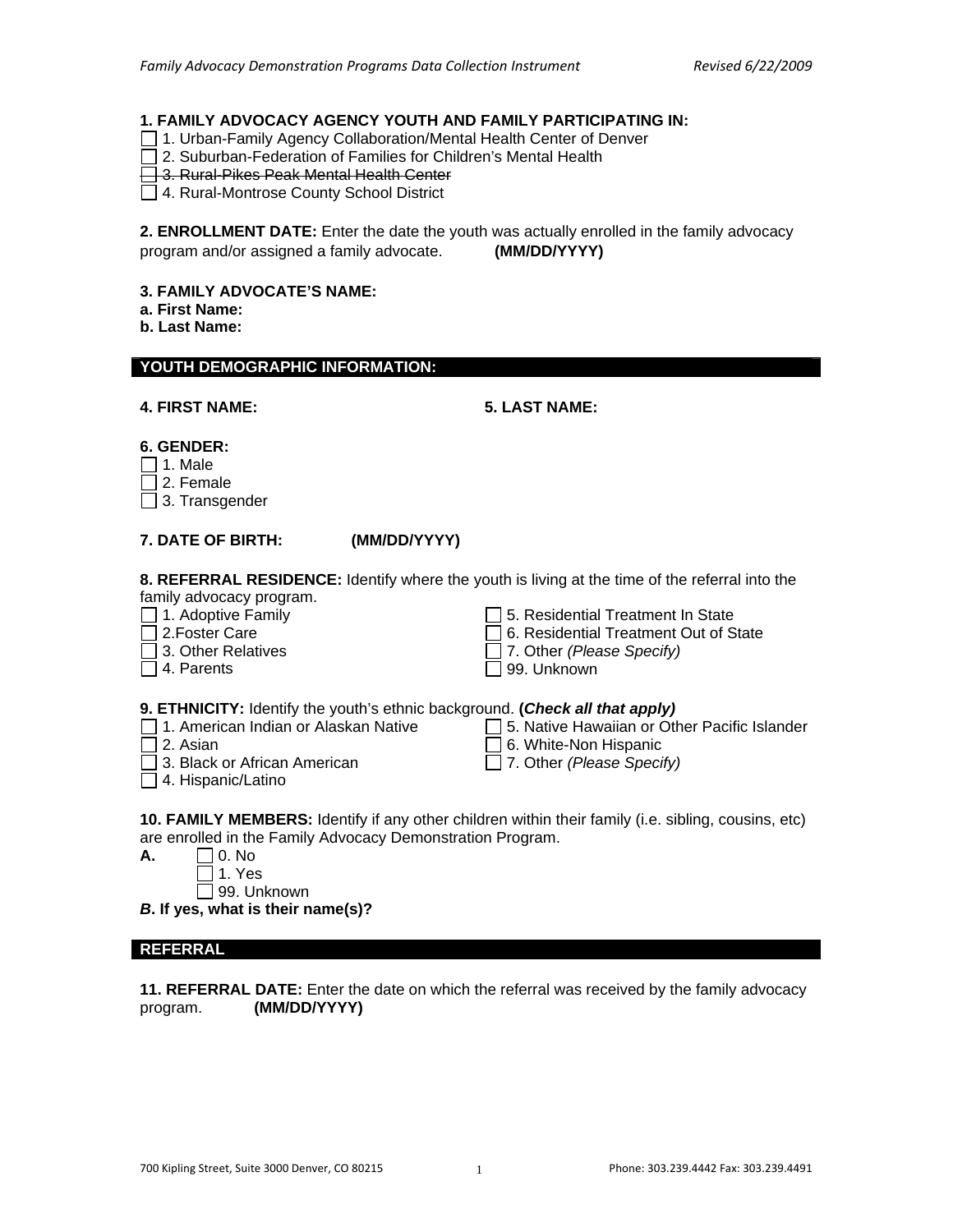#### **1. FAMILY ADVOCACY AGENCY YOUTH AND FAMILY PARTICIPATING IN:**

- 1. Urban-Family Agency Collaboration/Mental Health Center of Denver
- $\overline{\overline{1}}$  2. Suburban-Federation of Families for Children's Mental Health
- 3. Rural-Pikes Peak Mental Health Center
- 4. Rural-Montrose County School District

**2. ENROLLMENT DATE:** Enter the date the youth was actually enrolled in the family advocacy program and/or assigned a family advocate. **(MM/DD/YYYY)**

#### **3. FAMILY ADVOCATE'S NAME:**

- **a. First Name:**
- **b. Last Name:**

#### **YOUTH DEMOGRAPHIC INFORMATION:**

|  |  | <b>4. FIRST NAME:</b> |
|--|--|-----------------------|
|--|--|-----------------------|

#### **4. FIRST NAME: 5. LAST NAME:**

#### **6. GENDER:**

- $\Box$  1. Male
- $\Box$  2. Female

 $\Box$  3. Transgender

#### **7. DATE OF BIRTH: (MM/DD/YYYY)**

**8. REFERRAL RESIDENCE:** Identify where the youth is living at the time of the referral into the family advocacy program.

 $\Box$  1. Adoptive Family

- 2.Foster Care
- 3. Other Relatives
- □ 4. Parents

 $\Box$  5. Residential Treatment In State

- 6. Residential Treatment Out of State
- 7. Other *(Please Specify)*
- 99. Unknown

#### **9. ETHNICITY:** Identify the youth's ethnic background. **(***Check all that apply)*

- □ 1. American Indian or Alaskan Native □ 5. Native Hawaiian or Other Pacific Islander
- $\Box$  2. Asian
- 3. Black or African American
- □ 6. White-Non Hispanic
- 7. Other *(Please Specify)*
- □ 4. Hispanic/Latino
- **10. FAMILY MEMBERS:** Identify if any other children within their family (i.e. sibling, cousins, etc) are enrolled in the Family Advocacy Demonstration Program.

| А. | $ $ $ $ 0. No            |
|----|--------------------------|
|    | $\vert$ 1. Yes           |
|    | $\Box$ $\Omega$ $\Omega$ |

□ 99. Unknown

*B***. If yes, what is their name(s)?**

#### **REFERRAL**

**11. REFERRAL DATE:** Enter the date on which the referral was received by the family advocacy program. **(MM/DD/YYYY)**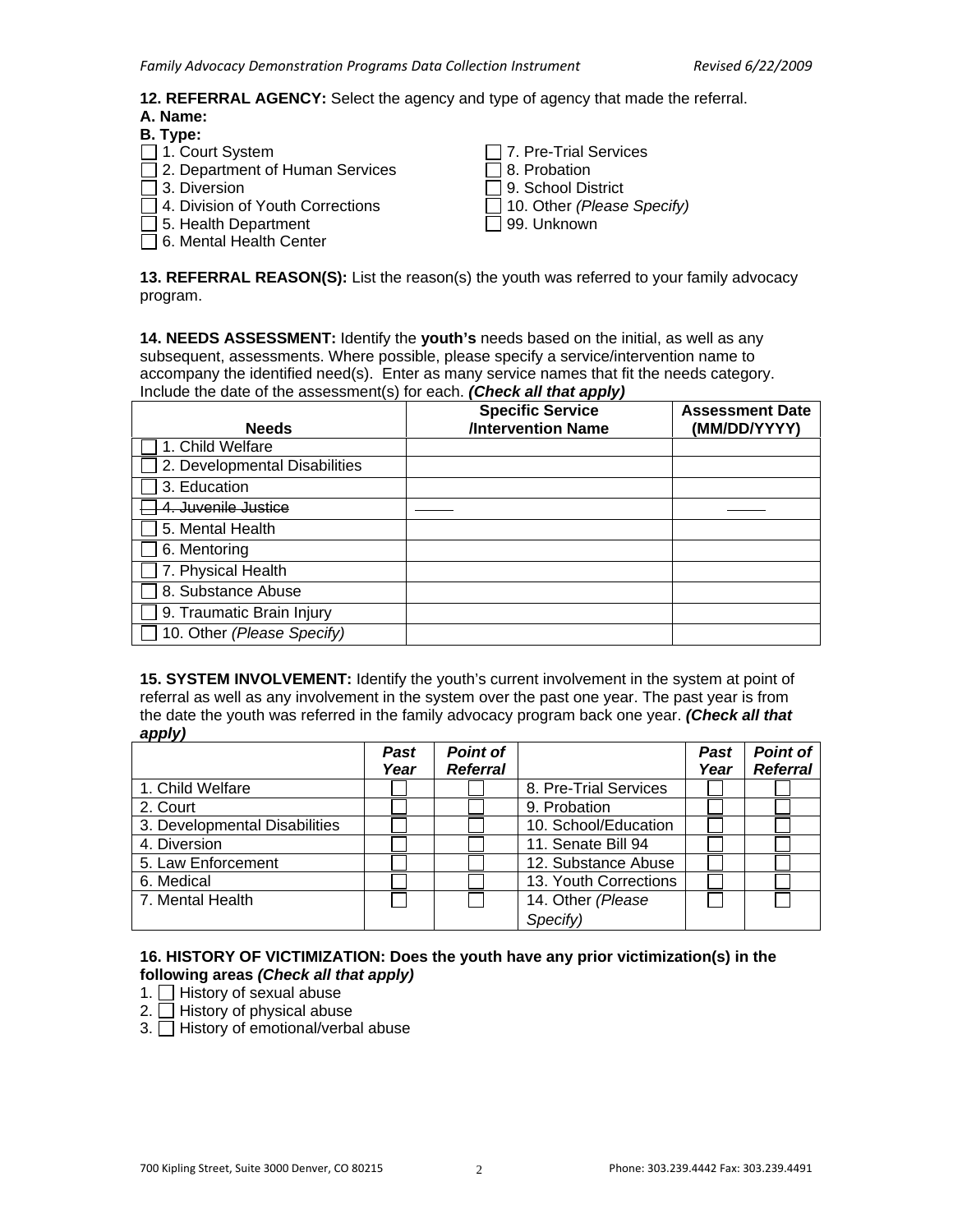**12. REFERRAL AGENCY:** Select the agency and type of agency that made the referral.

## **A. Name:**

| B. Type:                                |                                   |
|-----------------------------------------|-----------------------------------|
| □ 1. Court System                       | $\Box$ 7. Pre-Trial Services      |
| □ 2. Department of Human Services       | $\Box$ 8. Probation               |
| $\Box$ 3. Diversion                     | $\Box$ 9. School District         |
| $\Box$ 4. Division of Youth Corrections | $\Box$ 10. Other (Please Specify) |
| $\Box$ 5. Health Department             | □ 99. Unknown                     |
| 6. Mental Health Center                 |                                   |

**13. REFERRAL REASON(S):** List the reason(s) the youth was referred to your family advocacy program.

**14. NEEDS ASSESSMENT:** Identify the **youth's** needs based on the initial, as well as any subsequent, assessments. Where possible, please specify a service/intervention name to accompany the identified need(s). Enter as many service names that fit the needs category. Include the date of the assessment(s) for each. *(Check all that apply)*

| <b>Needs</b>                  | <b>Specific Service</b><br><b>/Intervention Name</b> | <b>Assessment Date</b><br>(MM/DD/YYYY) |
|-------------------------------|------------------------------------------------------|----------------------------------------|
| 1. Child Welfare              |                                                      |                                        |
| 2. Developmental Disabilities |                                                      |                                        |
| 3. Education                  |                                                      |                                        |
| Juvenile Justice              |                                                      |                                        |
| 5. Mental Health              |                                                      |                                        |
| 6. Mentoring                  |                                                      |                                        |
| 7. Physical Health            |                                                      |                                        |
| 8. Substance Abuse            |                                                      |                                        |
| 9. Traumatic Brain Injury     |                                                      |                                        |
| 10. Other (Please Specify)    |                                                      |                                        |

**15. SYSTEM INVOLVEMENT:** Identify the youth's current involvement in the system at point of referral as well as any involvement in the system over the past one year. The past year is from the date the youth was referred in the family advocacy program back one year. *(Check all that apply)* 

|                               | Past | Point of        |                       | <b>Past</b> | <b>Point of</b> |
|-------------------------------|------|-----------------|-----------------------|-------------|-----------------|
|                               | Year | <b>Referral</b> |                       | Year        | <b>Referral</b> |
| 1. Child Welfare              |      |                 | 8. Pre-Trial Services |             |                 |
| 2. Court                      |      |                 | 9. Probation          |             |                 |
| 3. Developmental Disabilities |      |                 | 10. School/Education  |             |                 |
| 4. Diversion                  |      |                 | 11. Senate Bill 94    |             |                 |
| 5. Law Enforcement            |      |                 | 12. Substance Abuse   |             |                 |
| 6. Medical                    |      |                 | 13. Youth Corrections |             |                 |
| 7. Mental Health              |      |                 | 14. Other (Please     |             |                 |
|                               |      |                 | Specify)              |             |                 |

#### **16. HISTORY OF VICTIMIZATION: Does the youth have any prior victimization(s) in the following areas** *(Check all that apply)*

- 1.  $\Box$  History of sexual abuse
- 2.  $\Box$  History of physical abuse
- $3.$  History of emotional/verbal abuse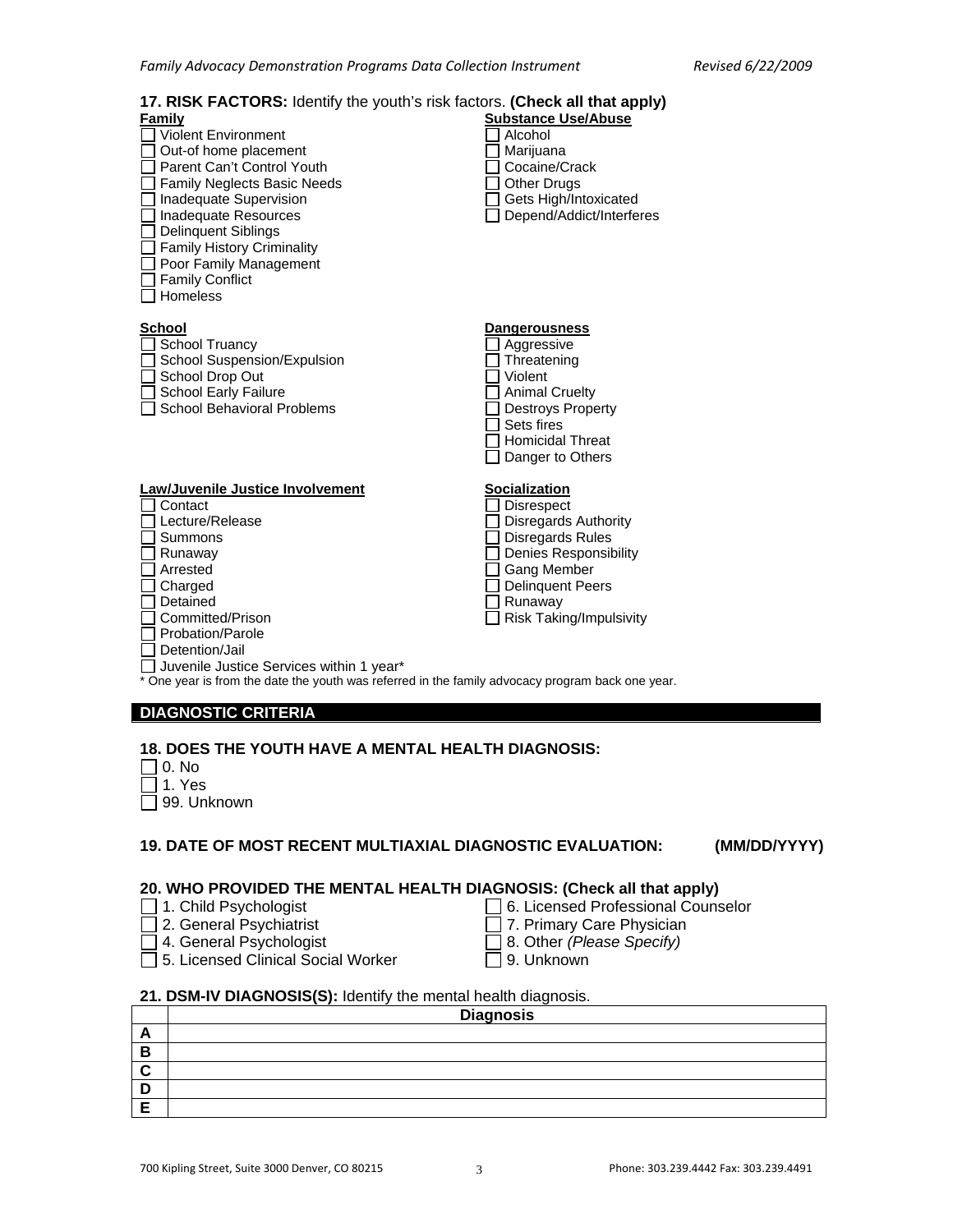# **17. RISK FACTORS:** Identify the youth's risk factors. **(Check all that apply)**

| <b>Family</b>                                                                                    | <b>Substance Use/Abuse</b>     |
|--------------------------------------------------------------------------------------------------|--------------------------------|
| <b>Violent Environment</b>                                                                       | Alcohol                        |
| Out-of home placement                                                                            | Marijuana                      |
| Parent Can't Control Youth                                                                       | Cocaine/Crack                  |
| <b>Family Neglects Basic Needs</b>                                                               | <b>Other Drugs</b>             |
| Inadequate Supervision                                                                           | Gets High/Intoxicated          |
| Inadequate Resources                                                                             | Depend/Addict/Interferes       |
| <b>Delinquent Siblings</b>                                                                       |                                |
| <b>Family History Criminality</b>                                                                |                                |
| Poor Family Management                                                                           |                                |
| <b>Family Conflict</b>                                                                           |                                |
| Homeless                                                                                         |                                |
|                                                                                                  |                                |
| <b>School</b>                                                                                    | <b>Dangerousness</b>           |
| <b>School Truancy</b>                                                                            | Aggressive                     |
| School Suspension/Expulsion                                                                      | Threatening                    |
| School Drop Out                                                                                  | Violent                        |
|                                                                                                  |                                |
| <b>School Early Failure</b><br>School Behavioral Problems                                        | <b>Animal Cruelty</b>          |
|                                                                                                  | <b>Destroys Property</b>       |
|                                                                                                  | Sets fires                     |
|                                                                                                  | <b>Homicidal Threat</b>        |
|                                                                                                  | Danger to Others               |
|                                                                                                  |                                |
| Law/Juvenile Justice Involvement<br>Contact                                                      | <u>Socialization</u>           |
|                                                                                                  | <b>Disrespect</b>              |
| Lecture/Release                                                                                  | <b>Disregards Authority</b>    |
| Summons                                                                                          | <b>Disregards Rules</b>        |
| Runaway                                                                                          | <b>Denies Responsibility</b>   |
| Arrested                                                                                         | Gang Member                    |
| Charged                                                                                          | <b>Delinquent Peers</b>        |
| Detained                                                                                         | Runaway                        |
| Committed/Prison                                                                                 | <b>Risk Taking/Impulsivity</b> |
| Probation/Parole                                                                                 |                                |
| Detention/Jail                                                                                   |                                |
| Juvenile Justice Services within 1 year*                                                         |                                |
| * One year is from the date the youth was referred in the family advocacy program back one year. |                                |
|                                                                                                  |                                |
| <b>DIAGNOSTIC CRITERIA</b>                                                                       |                                |

### **18. DOES THE YOUTH HAVE A MENTAL HEALTH DIAGNOSIS:**

 $\Box$  0. No

I

- $\sqsupset$  1. Yes
- □ 99. Unknown

#### **19. DATE OF MOST RECENT MULTIAXIAL DIAGNOSTIC EVALUATION: (MM/DD/YYYY)**

#### **20. WHO PROVIDED THE MENTAL HEALTH DIAGNOSIS: (Check all that apply)**  □ 6. Licensed Professional Counselor

- □ 1. Child Psychologist
- □ 2. General Psychiatrist
- $\overline{\Box}$  4. General Psychologist
- $\Box$  7. Primary Care Physician 8. Other *(Please Specify)*
- $\overline{\Box}$  9. Unknown
- $\overline{\Box}$  5. Licensed Clinical Social Worker
- **21. DSM-IV DIAGNOSIS(S):** Identify the mental health diagnosis.

|   | <b>Diagnosis</b> |
|---|------------------|
| - |                  |
| в |                  |
|   |                  |
|   |                  |
|   |                  |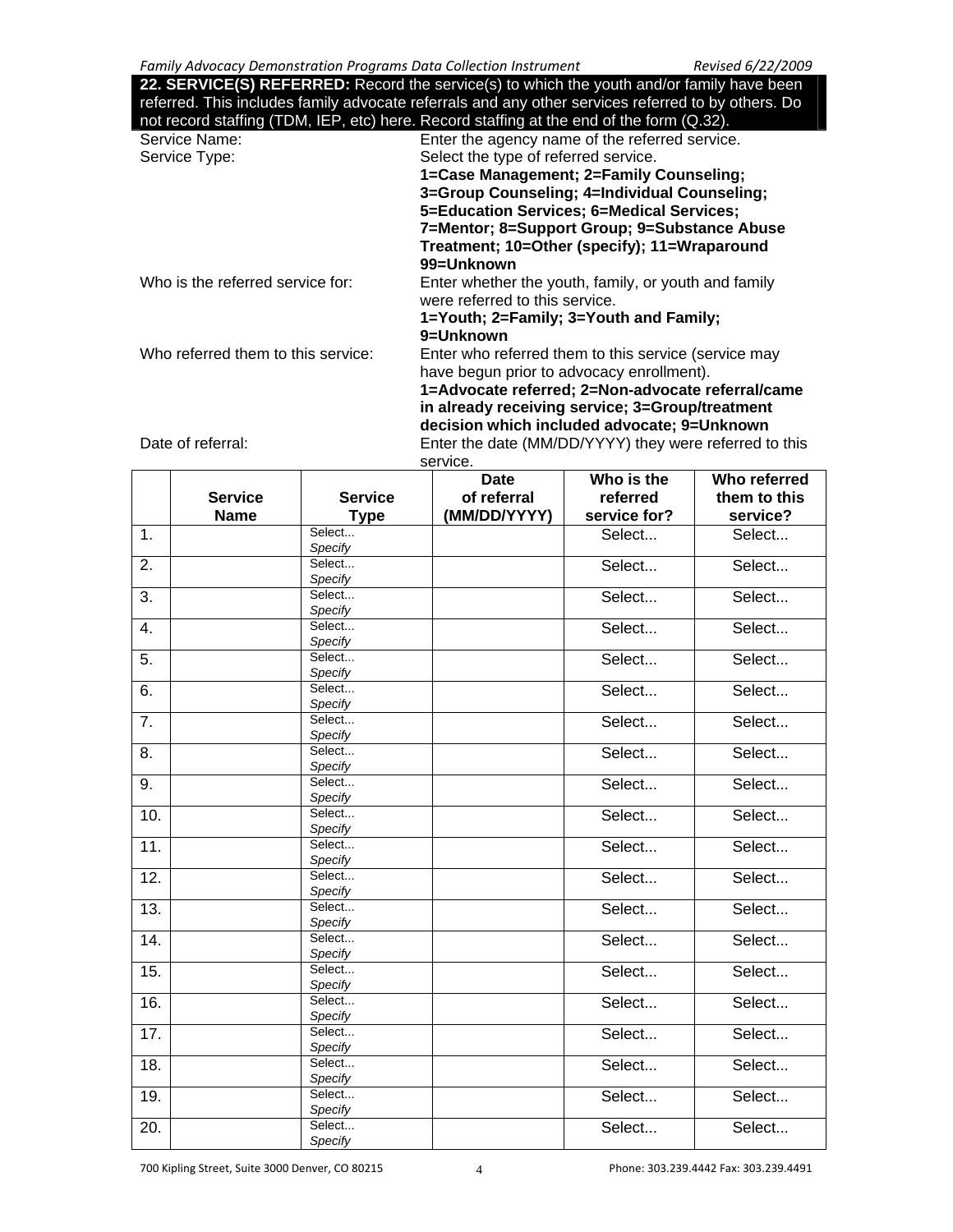**22. SERVICE(S) REFERRED:** Record the service(s) to which the youth and/or family have been referred. This includes family advocate referrals and any other services referred to by others. Do not record staffing (TDM, IEP, etc) here. Record staffing at the end of the form (Q.32).

|                                    | TIOL TECOLU Staffing (TEDNI, TELT, ELG) HETE. INECOLU Staffing at the end of the form (Q.OZ). |
|------------------------------------|-----------------------------------------------------------------------------------------------|
| Service Name:                      | Enter the agency name of the referred service.                                                |
| Service Type:                      | Select the type of referred service.                                                          |
|                                    | 1=Case Management; 2=Family Counseling;                                                       |
|                                    | 3=Group Counseling; 4=Individual Counseling;                                                  |
|                                    | 5=Education Services; 6=Medical Services;                                                     |
|                                    | 7=Mentor; 8=Support Group; 9=Substance Abuse                                                  |
|                                    | Treatment; 10=Other (specify); 11=Wraparound                                                  |
|                                    | 99=Unknown                                                                                    |
| Who is the referred service for:   | Enter whether the youth, family, or youth and family<br>were referred to this service.        |
|                                    | 1=Youth; 2=Family; 3=Youth and Family;                                                        |
|                                    | 9=Unknown                                                                                     |
| Who referred them to this service: | Enter who referred them to this service (service may                                          |
|                                    | have begun prior to advocacy enrollment).                                                     |
|                                    | 1=Advocate referred; 2=Non-advocate referral/came                                             |
|                                    | in already receiving service; 3=Group/treatment                                               |
|                                    |                                                                                               |
|                                    | decision which included advocate; 9=Unknown                                                   |

Date of referral: Enter the date (MM/DD/YYYY) they were referred to this service.

|                   | <b>Service</b><br><b>Name</b> | <b>Service</b><br><b>Type</b> | <b>Date</b><br>of referral<br>(MM/DD/YYYY) | Who is the<br>referred<br>service for? | Who referred<br>them to this<br>service? |
|-------------------|-------------------------------|-------------------------------|--------------------------------------------|----------------------------------------|------------------------------------------|
| 1.                |                               | Select<br>Specify             |                                            | Select                                 | Select                                   |
| 2.                |                               | Select<br>Specify             |                                            | Select                                 | Select                                   |
| $\overline{3}$ .  |                               | Select<br>Specify             |                                            | Select                                 | Select                                   |
| 4.                |                               | Select<br>Specify             |                                            | Select                                 | Select                                   |
| 5.                |                               | Select<br>Specify             |                                            | Select                                 | Select                                   |
| 6.                |                               | Select<br>Specify             |                                            | Select                                 | Select                                   |
| 7.                |                               | Select<br>Specify             |                                            | Select                                 | Select                                   |
| 8.                |                               | Select<br>Specify             |                                            | Select                                 | Select                                   |
| 9.                |                               | Select<br>Specify             |                                            | Select                                 | Select                                   |
| 10.               |                               | Select<br>Specify             |                                            | Select                                 | Select                                   |
| 11.               |                               | Select<br>Specify             |                                            | Select                                 | Select                                   |
| 12.               |                               | Select<br>Specify             |                                            | Select                                 | Select                                   |
| 13.               |                               | Select<br>Specify             |                                            | Select                                 | Select                                   |
| $\overline{14}$ . |                               | Select<br>Specify             |                                            | Select                                 | Select                                   |
| 15.               |                               | Select<br>Specify             |                                            | Select                                 | Select                                   |
| 16.               |                               | Select<br>Specify             |                                            | Select                                 | Select                                   |
| 17.               |                               | Select<br>Specify             |                                            | Select                                 | Select                                   |
| 18.               |                               | Select<br>Specify             |                                            | Select                                 | Select                                   |
| 19.               |                               | Select<br>Specify             |                                            | Select                                 | Select                                   |
| 20.               |                               | Select<br>Specify             |                                            | Select                                 | Select                                   |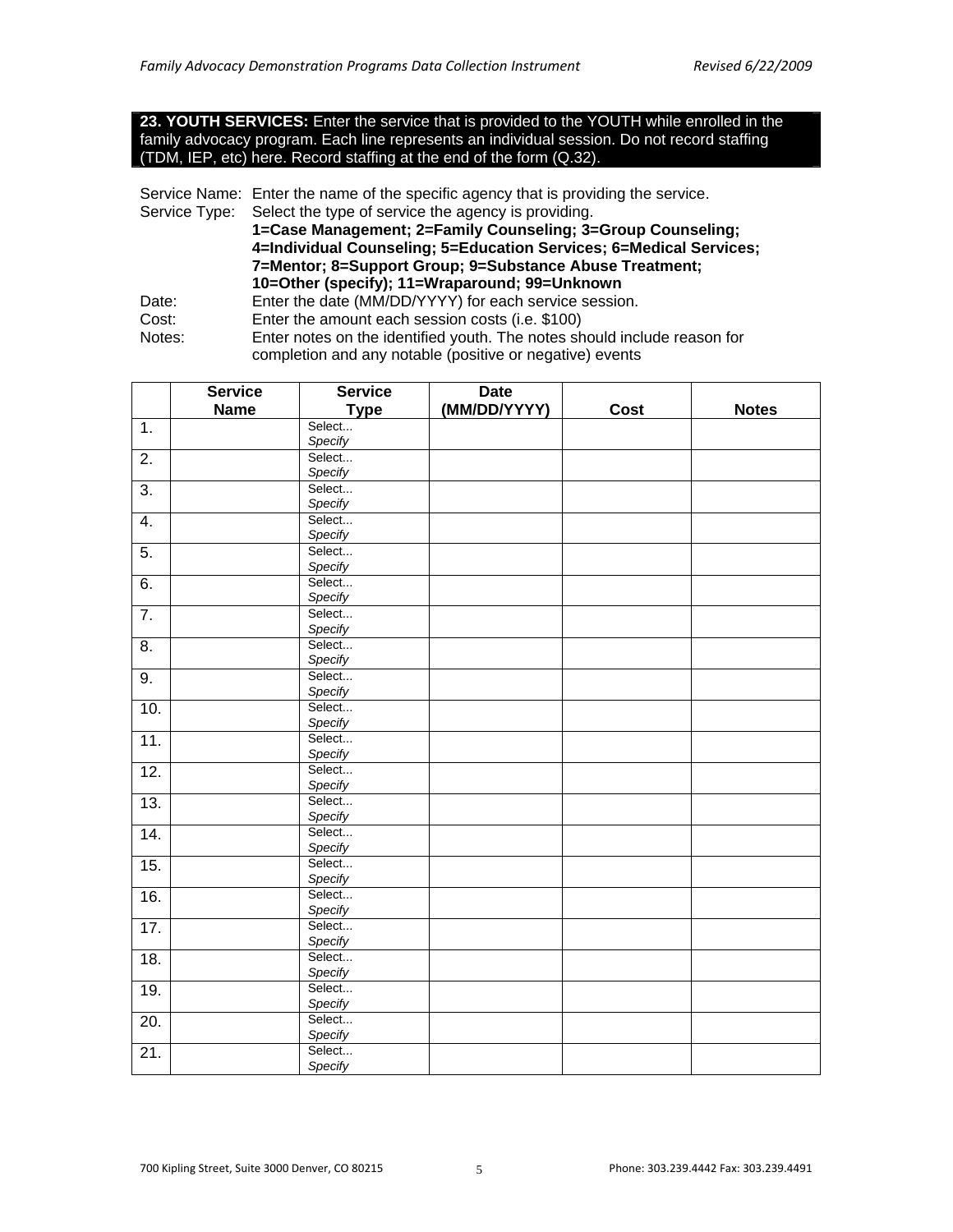#### **23. YOUTH SERVICES:** Enter the service that is provided to the YOUTH while enrolled in the family advocacy program. Each line represents an individual session. Do not record staffing (TDM, IEP, etc) here. Record staffing at the end of the form (Q.32).

Service Name: Enter the name of the specific agency that is providing the service.

Service Type: Select the type of service the agency is providing.

 **1=Case Management; 2=Family Counseling; 3=Group Counseling; 4=Individual Counseling; 5=Education Services; 6=Medical Services; 7=Mentor; 8=Support Group; 9=Substance Abuse Treatment; 10=Other (specify); 11=Wraparound; 99=Unknown** 

- Date: Enter the date (MM/DD/YYYY) for each service session.<br>Cost: Enter the amount each session costs (i.e. \$100) Enter the amount each session costs (i.e. \$100)
- Notes: Enter notes on the identified youth. The notes should include reason for completion and any notable (positive or negative) events

|                   | <b>Service</b> | <b>Service</b>    | <b>Date</b>  |      |              |
|-------------------|----------------|-------------------|--------------|------|--------------|
|                   | <b>Name</b>    | <b>Type</b>       | (MM/DD/YYYY) | Cost | <b>Notes</b> |
| 1.                |                | Select            |              |      |              |
|                   |                | Specify           |              |      |              |
| 2.                |                | Select            |              |      |              |
|                   |                | Specify           |              |      |              |
| $\overline{3}$ .  |                | Select            |              |      |              |
|                   |                | Specify           |              |      |              |
| 4.                |                | Select            |              |      |              |
|                   |                | Specify           |              |      |              |
| 5.                |                | Select            |              |      |              |
|                   |                | Specify           |              |      |              |
| 6.                |                | Select            |              |      |              |
|                   |                | Specify           |              |      |              |
| $\overline{7}$ .  |                | Select            |              |      |              |
|                   |                | Specify           |              |      |              |
| 8.                |                | Select            |              |      |              |
|                   |                | Specify           |              |      |              |
| 9.                |                | Select            |              |      |              |
|                   |                | Specify           |              |      |              |
| 10.               |                | Select            |              |      |              |
|                   |                | Specify           |              |      |              |
| 11.               |                | Select            |              |      |              |
|                   |                | Specify           |              |      |              |
| 12.               |                | Select            |              |      |              |
|                   |                | Specify           |              |      |              |
| 13.               |                | Select            |              |      |              |
|                   |                | Specify           |              |      |              |
| $\overline{14}$ . |                | Select            |              |      |              |
|                   |                | Specify           |              |      |              |
| 15.               |                | Select            |              |      |              |
|                   |                | Specify           |              |      |              |
| 16.               |                | Select            |              |      |              |
|                   |                | Specify           |              |      |              |
| 17.               |                | Select            |              |      |              |
|                   |                | Specify<br>Select |              |      |              |
| 18.               |                | Specify           |              |      |              |
|                   |                | Select            |              |      |              |
| 19.               |                | Specify           |              |      |              |
|                   |                | Select            |              |      |              |
| 20.               |                | Specify           |              |      |              |
|                   |                | Select            |              |      |              |
| 21.               |                | Specify           |              |      |              |
|                   |                |                   |              |      |              |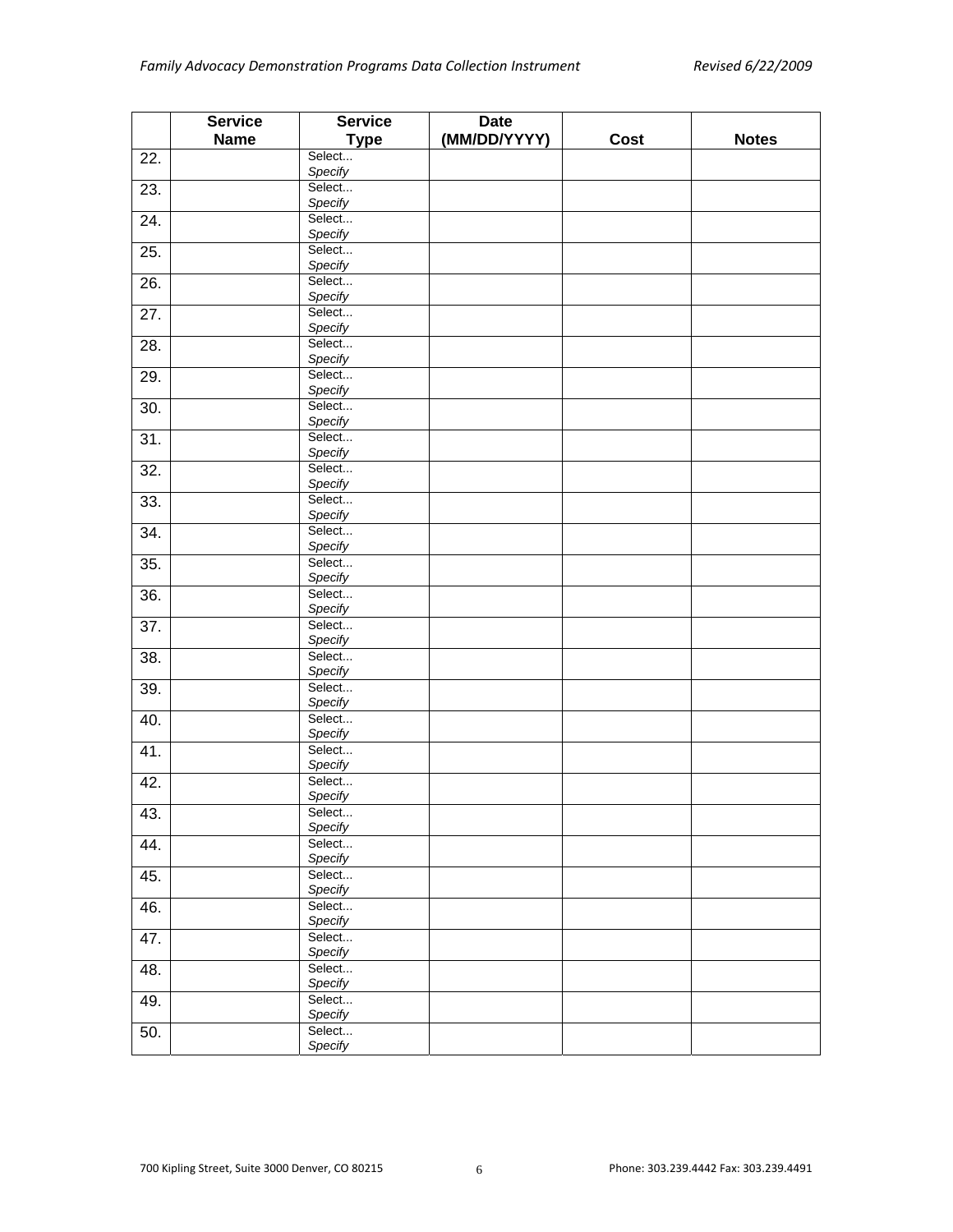|     | <b>Service</b> | <b>Service</b>    | <b>Date</b>  |      |              |
|-----|----------------|-------------------|--------------|------|--------------|
|     | <b>Name</b>    | <b>Type</b>       | (MM/DD/YYYY) | Cost | <b>Notes</b> |
| 22. |                | Select            |              |      |              |
|     |                | Specify           |              |      |              |
| 23. |                | Select            |              |      |              |
|     |                | Specify           |              |      |              |
| 24. |                | Select            |              |      |              |
|     |                | Specify           |              |      |              |
| 25. |                | Select<br>Specify |              |      |              |
|     |                | Select            |              |      |              |
| 26. |                | Specify           |              |      |              |
| 27. |                | Select            |              |      |              |
|     |                | Specify           |              |      |              |
| 28. |                | Select            |              |      |              |
|     |                | Specify           |              |      |              |
| 29. |                | Select            |              |      |              |
|     |                | Specify           |              |      |              |
| 30. |                | Select            |              |      |              |
|     |                | Specify           |              |      |              |
| 31. |                | Select            |              |      |              |
|     |                | Specify           |              |      |              |
| 32. |                | Select            |              |      |              |
|     |                | Specify           |              |      |              |
| 33. |                | Select            |              |      |              |
|     |                | Specify           |              |      |              |
| 34. |                | Select            |              |      |              |
|     |                | Specify<br>Select |              |      |              |
| 35. |                | Specify           |              |      |              |
| 36. |                | Select            |              |      |              |
|     |                | Specify           |              |      |              |
| 37. |                | Select            |              |      |              |
|     |                | Specify           |              |      |              |
| 38. |                | Select            |              |      |              |
|     |                | Specify           |              |      |              |
| 39. |                | Select            |              |      |              |
|     |                | Specify           |              |      |              |
| 40. |                | Select            |              |      |              |
|     |                | Specify           |              |      |              |
| 41. |                | Select            |              |      |              |
|     |                | Specify           |              |      |              |
| 42. |                | Select            |              |      |              |
|     |                | Specify           |              |      |              |
| 43. |                | Select<br>Specify |              |      |              |
| 44. |                | Select            |              |      |              |
|     |                | Specify           |              |      |              |
| 45. |                | Select            |              |      |              |
|     |                | Specify           |              |      |              |
| 46. |                | Select            |              |      |              |
|     |                | Specify           |              |      |              |
| 47. |                | Select            |              |      |              |
|     |                | Specify           |              |      |              |
| 48. |                | Select            |              |      |              |
|     |                | Specify           |              |      |              |
| 49. |                | Select            |              |      |              |
|     |                | Specify           |              |      |              |
| 50. |                | Select            |              |      |              |
|     |                | Specify           |              |      |              |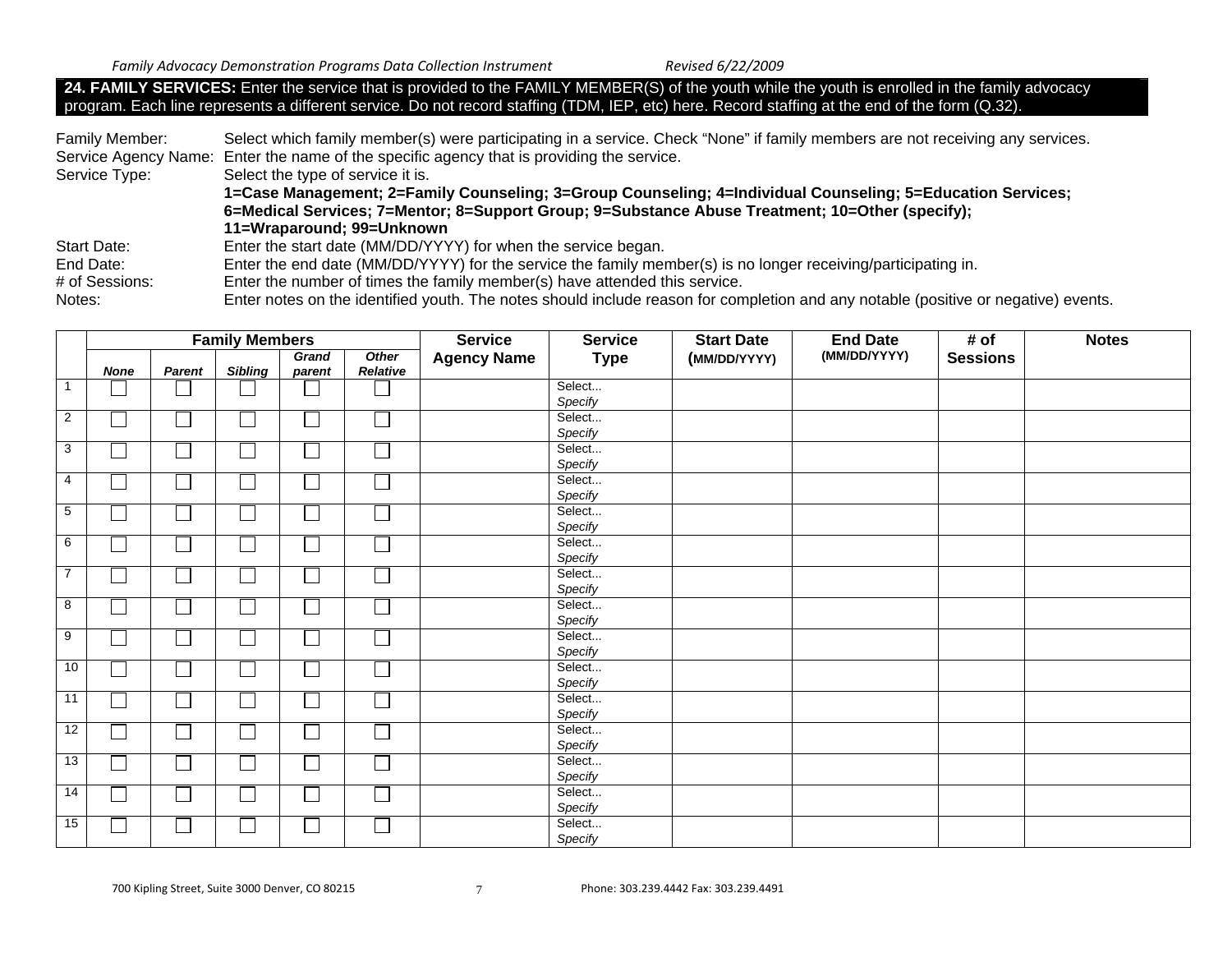**24. FAMILY SERVICES:** Enter the service that is provided to the FAMILY MEMBER(S) of the youth while the youth is enrolled in the family advocacy program. Each line represents a different service. Do not record staffing (TDM, IEP, etc) here. Record staffing at the end of the form (Q.32).

| Family Member:     | Select which family member(s) were participating in a service. Check "None" if family members are not receiving any services.     |
|--------------------|-----------------------------------------------------------------------------------------------------------------------------------|
|                    | Service Agency Name: Enter the name of the specific agency that is providing the service.                                         |
| Service Type:      | Select the type of service it is.                                                                                                 |
|                    | 1=Case Management; 2=Family Counseling; 3=Group Counseling; 4=Individual Counseling; 5=Education Services;                        |
|                    | 6=Medical Services; 7=Mentor; 8=Support Group; 9=Substance Abuse Treatment; 10=Other (specify);                                   |
|                    | 11=Wraparound; 99=Unknown                                                                                                         |
| <b>Start Date:</b> | Enter the start date (MM/DD/YYYY) for when the service began.                                                                     |
| End Date:          | Enter the end date (MM/DD/YYYY) for the service the family member(s) is no longer receiving/participating in.                     |
| # of Sessions:     | Enter the number of times the family member(s) have attended this service.                                                        |
| Notes:             | Enter notes on the identified youth. The notes should include reason for completion and any notable (positive or negative) events |

|                 | <b>Family Members</b>       |        |                |        |          | <b>Service</b>     | <b>Service</b> | <b>Start Date</b> | <b>End Date</b> | # of            | <b>Notes</b> |
|-----------------|-----------------------------|--------|----------------|--------|----------|--------------------|----------------|-------------------|-----------------|-----------------|--------------|
|                 |                             |        |                | Grand  | Other    | <b>Agency Name</b> | <b>Type</b>    | (MM/DD/YYYY)      | (MM/DD/YYYY)    | <b>Sessions</b> |              |
|                 | <b>None</b>                 | Parent | <b>Sibling</b> | parent | Relative |                    |                |                   |                 |                 |              |
| $\overline{1}$  |                             |        |                |        |          |                    | Select         |                   |                 |                 |              |
|                 |                             |        |                |        |          |                    | Specify        |                   |                 |                 |              |
| $\overline{2}$  | $\Box$                      |        | $\Box$         | J.     |          |                    | Select         |                   |                 |                 |              |
|                 |                             |        |                |        |          |                    | Specify        |                   |                 |                 |              |
| $\mathbf{3}$    | □                           |        |                | J.     |          |                    | Select         |                   |                 |                 |              |
|                 |                             |        |                |        |          |                    | Specify        |                   |                 |                 |              |
| $\overline{4}$  | $\Box$                      |        | $\Box$         |        |          |                    | Select         |                   |                 |                 |              |
|                 |                             |        |                |        |          |                    | Specify        |                   |                 |                 |              |
| $5\phantom{.0}$ |                             |        |                | J.     |          |                    | Select         |                   |                 |                 |              |
|                 |                             |        |                |        |          |                    | Specify        |                   |                 |                 |              |
| 6               | $\Box$                      |        |                |        |          |                    | Select         |                   |                 |                 |              |
|                 |                             |        |                |        |          |                    | Specify        |                   |                 |                 |              |
| $\overline{7}$  | $\mathbb{L}$                |        | ப              |        |          |                    | Select         |                   |                 |                 |              |
|                 |                             |        |                |        |          |                    | Specify        |                   |                 |                 |              |
| 8               | $\Box$                      |        | $\Box$         |        |          |                    | Select         |                   |                 |                 |              |
|                 |                             |        |                |        |          |                    | Specify        |                   |                 |                 |              |
| 9               | $\mathcal{L}_{\mathcal{A}}$ |        | ப              | J.     |          |                    | Select         |                   |                 |                 |              |
|                 |                             |        |                |        |          |                    | Specify        |                   |                 |                 |              |
| 10              | $\vert \ \ \vert$           |        | $\Box$         | Ξ      |          |                    | Select         |                   |                 |                 |              |
|                 |                             |        |                |        |          |                    | Specify        |                   |                 |                 |              |
| $\overline{11}$ | └                           |        | ப              |        |          |                    | Select         |                   |                 |                 |              |
|                 |                             |        |                |        |          |                    | Specify        |                   |                 |                 |              |
| 12              | $\mathbf{I}$                |        | $\mathsf{I}$   |        |          |                    | Select         |                   |                 |                 |              |
|                 |                             |        |                |        |          |                    | Specify        |                   |                 |                 |              |
| 13              | $\Box$                      |        | $\Box$         |        |          |                    | Select         |                   |                 |                 |              |
|                 |                             |        |                |        |          |                    | Specify        |                   |                 |                 |              |
| 14              | $\Box$                      |        | $\Box$         |        |          |                    | Select         |                   |                 |                 |              |
|                 |                             |        |                |        |          |                    | Specify        |                   |                 |                 |              |
| 15              |                             |        |                |        |          |                    | Select         |                   |                 |                 |              |
|                 |                             |        |                |        |          |                    | Specify        |                   |                 |                 |              |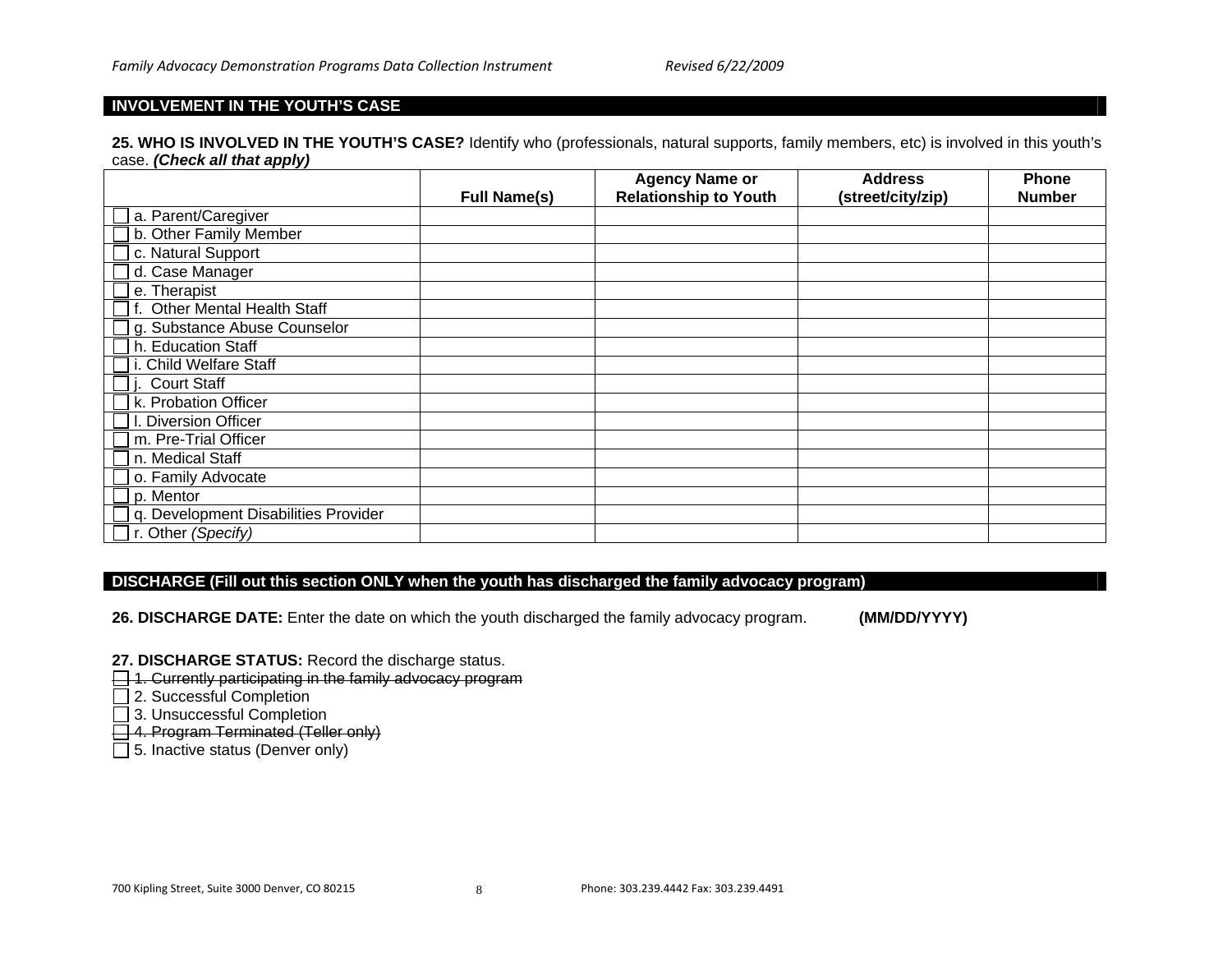#### **INVOLVEMENT IN THE YOUTH'S CASE**

**25. WHO IS INVOLVED IN THE YOUTH'S CASE?** Identify who (professionals, natural supports, family members, etc) is involved in this youth's case. *(Check all that apply)*

|                                      |                     | <b>Agency Name or</b>        | <b>Address</b>    | <b>Phone</b>  |
|--------------------------------------|---------------------|------------------------------|-------------------|---------------|
|                                      | <b>Full Name(s)</b> | <b>Relationship to Youth</b> | (street/city/zip) | <b>Number</b> |
| a. Parent/Caregiver                  |                     |                              |                   |               |
| b. Other Family Member               |                     |                              |                   |               |
| c. Natural Support                   |                     |                              |                   |               |
| d. Case Manager                      |                     |                              |                   |               |
| e. Therapist                         |                     |                              |                   |               |
| <b>Other Mental Health Staff</b>     |                     |                              |                   |               |
| g. Substance Abuse Counselor         |                     |                              |                   |               |
| h. Education Staff                   |                     |                              |                   |               |
| <b>Child Welfare Staff</b>           |                     |                              |                   |               |
| <b>Court Staff</b>                   |                     |                              |                   |               |
| k. Probation Officer                 |                     |                              |                   |               |
| <b>Diversion Officer</b>             |                     |                              |                   |               |
| m. Pre-Trial Officer                 |                     |                              |                   |               |
| n. Medical Staff                     |                     |                              |                   |               |
| o. Family Advocate                   |                     |                              |                   |               |
| p. Mentor                            |                     |                              |                   |               |
| q. Development Disabilities Provider |                     |                              |                   |               |
| r. Other (Specify)                   |                     |                              |                   |               |

#### **DISCHARGE (Fill out this section ONLY when the youth has discharged the family advocacy program)**

**26. DISCHARGE DATE:** Enter the date on which the youth discharged the family advocacy program. **(MM/DD/YYYY)**

**27. DISCHARGE STATUS:** Record the discharge status.

1. Currently participating in the family advocacy program

□ 2. Successful Completion

3. Unsuccessful Completion

4. Program Terminated (Teller only)

 $\Box$  5. Inactive status (Denver only)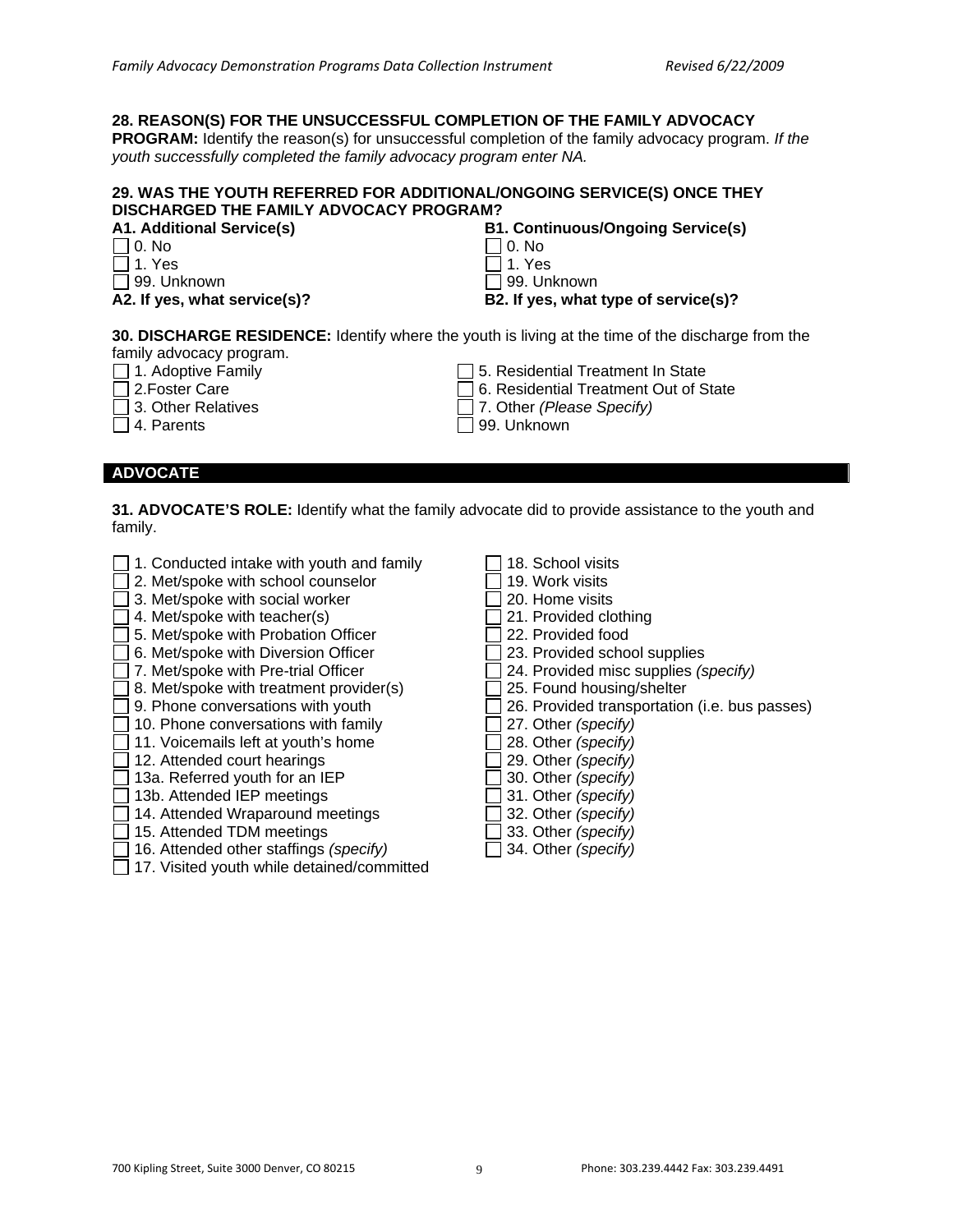#### **28. REASON(S) FOR THE UNSUCCESSFUL COMPLETION OF THE FAMILY ADVOCACY**

**PROGRAM:** Identify the reason(s) for unsuccessful completion of the family advocacy program. *If the youth successfully completed the family advocacy program enter NA.* 

#### **29. WAS THE YOUTH REFERRED FOR ADDITIONAL/ONGOING SERVICE(S) ONCE THEY DISCHARGED THE FAMILY ADVOCACY PROGRAM?**

| <b>A1. Additional Service(s)</b> | <b>B1. Continuous/Ongoing Service(s)</b> |
|----------------------------------|------------------------------------------|
| $\Box$ 0. No                     | $\Box$ 0. No                             |
| $\Box$ 1. Yes                    | $\Box$ 1. Yes                            |
| $\Box$ 99. Unknown               | □ 99. Unknown                            |
| A2. If yes, what service(s)?     | B2. If yes, what type of service(s)?     |

**30. DISCHARGE RESIDENCE:** Identify where the youth is living at the time of the discharge from the family advocacy program.

 $\Box$  1. Adoptive Family

- 2.Foster Care
- 3. Other Relatives
- $\Box$  4. Parents

#### **ADVOCATE**

**31. ADVOCATE'S ROLE:** Identify what the family advocate did to provide assistance to the youth and family.

- $\Box$  1. Conducted intake with youth and family
- 2. Met/spoke with school counselor
- □ 3. Met/spoke with social worker
- $\exists$  4. Met/spoke with teacher(s)
- 5. Met/spoke with Probation Officer
- 6. Met/spoke with Diversion Officer
- 7. Met/spoke with Pre-trial Officer
- $\Box$  8. Met/spoke with treatment provider(s)
- $\Box$  9. Phone conversations with youth
- $\Box$  10. Phone conversations with family
- $\Box$  11. Voicemails left at youth's home
- $\Box$  12. Attended court hearings
- $\Box$  13a. Referred youth for an IEP
- $\Box$  13b. Attended IEP meetings
- 14. Attended Wraparound meetings
- 15. Attended TDM meetings
- 16. Attended other staffings *(specify)*
- $\Box$  17. Visited youth while detained/committed
- 18. School visits
- $\Box$  19. Work visits
- $\Box$  20. Home visits
- □ 21. Provided clothing

 $\square$  5. Residential Treatment In State 6. Residential Treatment Out of State

7. Other *(Please Specify)*

99. Unknown

- $\Box$  22. Provided food
- $\Box$  23. Provided school supplies
- 24. Provided misc supplies *(specify)*
- 25. Found housing/shelter
- 26. Provided transportation (i.e. bus passes)
- 27. Other *(specify)*
- 28. Other *(specify)*
- 29. Other *(specify)*
- 30. Other *(specify)*
- 31. Other *(specify)*
- 32. Other *(specify)*
- 33. Other *(specify)*
- 34. Other *(specify)*